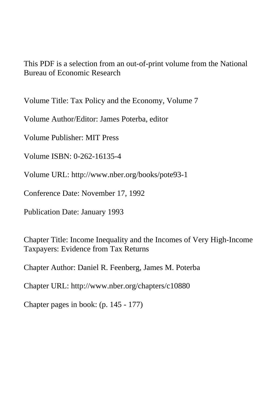This PDF is a selection from an out-of-print volume from the National Bureau of Economic Research

Volume Title: Tax Policy and the Economy, Volume 7

Volume Author/Editor: James Poterba, editor

Volume Publisher: MIT Press

Volume ISBN: 0-262-16135-4

Volume URL: http://www.nber.org/books/pote93-1

Conference Date: November 17, 1992

Publication Date: January 1993

Chapter Title: Income Inequality and the Incomes of Very High-Income Taxpayers: Evidence from Tax Returns

Chapter Author: Daniel R. Feenberg, James M. Poterba

Chapter URL: http://www.nber.org/chapters/c10880

Chapter pages in book: (p. 145 - 177)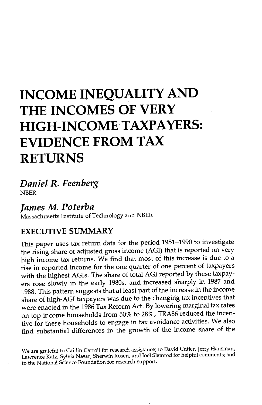# INCOME INEQUALITY AND THE INCOMES OF VERY HIGH-INCOME TAXPAYERS: EVIDENCE FROM TAX RETURNS

Daniel R. Feenberg NBER

James M. Poterba Massachusetts Institute of Technology and NBER

#### EXECUTIVE SUMMARY

This paper uses tax return data for the period 1951-1990 to investigate the rising share of adjusted gross income (AGI) that is reported on very high income tax returns. We find that most of this increase is due to a rise in reported income for the one quarter of one percent of taxpayers with the highest AGIs. The share of total AGI reported by these taxpayers rose slowly in the early 1980s, and increased sharply in 1987 and 1988. This pattern suggests that at least part of the increase in the income share of high-AGI taxpayers was due to the changing tax incentives that were enacted in the 1986 Tax Reform Act. By lowering marginal tax rates on top-income households from 50% to 28%, TRA86 reduced the incentive for these households to engage in tax avoidance activities. We also find substantial differences in the growth of the income share of the

We are grateful to Caitlin Carroll for research assistance; to David Cutler, Jerry Hausman, Lawrence Katz, Sylvia Nasar, Sherwin Rosen, and Joel Slemrod for helpful comments; and to the National Science Foundation for research support.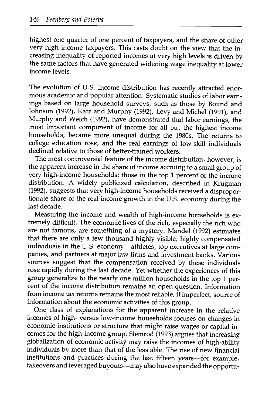highest one quarter of one percent of taxpayers, and the share of other very high income taxpayers. This casts doubt on the view that the increasing inequality of reported incomes at very high levels is driven by the same factors that have generated widening wage inequality at lower income levels.

The evolution of U.S. income distribution has recently attracted enormous academic and popular attention. Systematic studies of labor earnings based on large household surveys, such as those by Bound and Johnson (1992), Katz and Murphy (1992), Levy and Michel (1991), and Murphy and Welch (1992), have demonstrated that labor earnings, the most important component of income for all but the highest income households, became more unequal during the 1980s. The returns to college education rose, and the real earnings of low-skill individuals declined relative to those of better-trained workers.

The most controversial feature of the income distribution, however, is the apparent increase in the share of income accruing to a small group of very high-income households: those in the top 1 percent of the income distribution. A widely publicized calculation, described in Krugman (1992), suggests that very high-income households received a disproportionate share of the real income growth in the U.S. economy during the last decade.

Measuring the income and wealth of high-income households is extremely difficult. The economic lives of the rich, especially the rich who are not famous, are something of a mystery. Mandel (1992) estimates that there are only a few thousand highly visible, highly compensated individuals in the U.S. economy—athletes, top executives at large companies, and partners at major law firms and investment banks. Various sources suggest that the compensation received by these individuals rose rapidly during the last decade. Yet whether the experiences of this group generalize to the nearly one million households in the top 1 percent of the income distribution remains an open question. Information from income tax returns remains the most reliable, if imperfect, source of information about the economic activities of this group.

One class of explanations for the apparent increase in the relative incomes of high- versus low-income households focuses on changes in economic institutions or structure that might raise wages or capital incomes for the high-income group. Slemrod (1993) argues that increasing globalization of economic activity may raise the incomes of high-ability individuals by more than that of the less able. The rise of new financial institutions and practices during the last fifteen years-for example, takeovers and leveraged buyouts—may also have expanded the opportu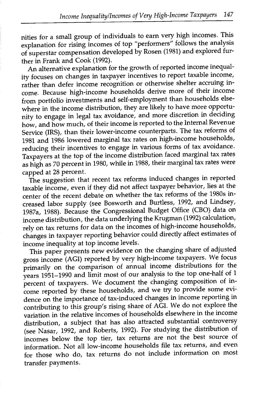nities for a small group of individuals to earn very high incomes. This explanation for rising incomes of top "performers" follows the analysis of superstar compensation developed by Rosen (1981) and explored further in Frank and Cook (1992).

An alternative explanation for the growth of reported income inequality focuses on changes in taxpayer incentives to report taxable income, rather than defer income recognition or otherwise shelter accruing income. Because high-income households derive more of their income from portfolio investments and self-employment than households elsewhere in the income distribution, they are likely to have more opportunity to engage in legal tax avoidance, and more discretion in deciding how, and how much, of their income is reported to the Internal Revenue Service (IRS), than their lower-income counterparts. The tax reforms of 1981 and 1986 lowered marginal tax rates on high-income households, reducing their incentives to engage in various forms of tax avoidance. Taxpayers at the top of the income distribution faced marginal tax rates as high as 70 percent in 1980, while in 1988, their marginal tax rates were capped at 28 percent.

The suggestion that recent tax reforms induced changes in reported taxable income, even if they did not affect taxpayer behavior, lies at the center of the recent debate on whether the tax reforms of the 1980s increased labor supply (see Bosworth and Burtless, 1992, and Lindsey, 1987a, 1988). Because the Congressional Budget Office (CBO) data on income distribution, the data underlying the Krugman (1992) calculation, rely on tax returns for data on the incomes of high-income households, changes in taxpayer reporting behavior could directly affect estimates of income inequality at top income levels.

This paper presents new evidence on the changing share of adjusted gross income (AGI) reported by very high-income taxpayers. We focus primarily on the comparison of annual income distributions for the years 1951-1990 and limit most of our analysis to the top one-half of 1 percent of taxpayers. We document the changing composition of income reported by these households, and we try to provide some evidence on the importance of tax-induced changes in income reporting in contributing to this group's rising share of AGI. We do not explore the variation in the relative incomes of households elsewhere in the income distribution, a subject that has also attracted substantial controversy (see Nasar, 1992, and Roberts, 1992). For studying the distribution of incomes below the top tier, tax returns are not the best source of information. Not all low-income households file tax returns, and even for those who do, tax returns do not include information on most transfer payments.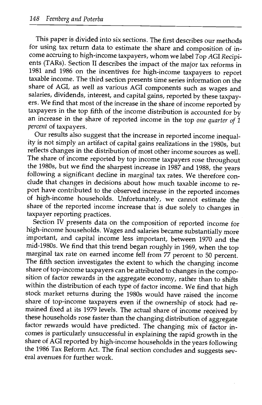This paper is divided into six sections. The first describes our methods for using tax return data to estimate the share and composition of income accruing to high-income taxpayers, whom we label Top AGI Recipients (TARs). Section II describes the impact of the major tax reforms in 1981 and 1986 on the incentives for high-income taxpayers to report taxable income. The third section presents time series information on the share of AGI, as well as various AGI components such as wages and salaries, dividends, interest, and capital gains, reported by these taxpayers. We find that most of the increase in the share of income reported by taxpayers in the top fifth of the income distribution is accounted for by an increase in the share of reported income in the top one quarter of  $1$ percent of taxpayers.

Our results also suggest that the increase in reported income inequality is not simply an artifact of capital gains realizations in the 1980s, but reflects changes in the distribution of most other income sources as well. The share of income reported by top income taxpayers rose throughout the 1980s, but we find the sharpest increase in 1987 and 1988, the years following a significant decline in marginal tax rates. We therefore conclude that changes in decisions about how much taxable income to report have contributed to the observed increase in the reported incomes of high-income households. Unfortunately, we cannot estimate the share of the reported income increase that is due solely to changes in taxpayer reporting practices.

Section IV presents data on the composition of reported income for high-income households. Wages and salaries became substantially more important, and capital income less important, between 1970 and the marginal tax rate on earned income fell from 77 percent to 50 percent. The fifth section investigates the extent to which the changing income share of top-income taxpayers can be attributed to changes in the composition of factor rewards in the aggregate economy, rather than to shifts within the distribution of each type of factor income. We find that high stock market returns during the 1980s would have raised the income share of top-income taxpayers even if the ownership of stock had remained fixed at its 1979 levels. The actual share of income received by these households rose faster than the changing distribution of aggregate factor rewards would have predicted. The changing mix of factor incomes is particularly unsuccessful in explaining the rapid growth in the share of AGI reported by high-income households in the years following the 1986 Tax Reform Act. The final section concludes and suggests sev- eral avenues for further work.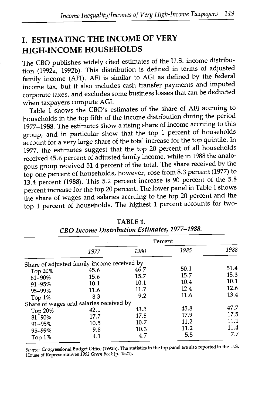### I. ESTIMATING THE INCOME OF VERY HIGH-INCOME HOUSEHOLDS

The CBO publishes widely cited estimates of the U.S. income distribution (1992a, 1992b). This distribution is defined in terms of adjusted family income (AFI). AFI is similar to AGI as defined by the federal income tax, but it also includes cash transfer payments and imputed corporate taxes, and excludes some businesslosses that can be deducted when taxpayers compute AGI.

Table 1 shows the CBO's estimates of the share of AFI accruing to households in the top fifth of the income distribution during the period 1977-1988. The estimates show a rising share of income accruing to this group, and in particular show that the top 1 percent of households account for a very large share of the total increase for the top quintile. In 1977, the estimates suggest that the top 20 percent of all households received 45.6 percent of adjusted family income, while in 1988 the analogous group received 51.4 percent of the total. The share received by the top one percent of households, however, rose from 8.3 percent (1977) to 13.4 percent (1988). This 5.2 percent increase is 90 percent of the 5.8 percent increase for the top 20 percent. The lower panel in Table 1 shows the share of wages and salaries accruing to the top 20 percent and the top 1 percent of households. The highest 1 percent accounts for two-

|         |                                             | Percent |      |      |
|---------|---------------------------------------------|---------|------|------|
|         | 1977                                        | 1980    | 1985 | 1988 |
|         | Share of adjusted family income received by |         |      |      |
| Top 20% | 45.6                                        | 46.7    | 50.1 | 51.4 |
| 81-90%  | 15.6                                        | 15.7    | 15.7 | 15.3 |
| 91-95%  | 10.1                                        | 10.1    | 10.4 | 10.1 |
| 95-99%  | 11.6                                        | 11.7    | 12.4 | 12.6 |
| Top 1%  | 8.3                                         | 9.2     | 11.6 | 13.4 |
|         | Share of wages and salaries received by     |         |      |      |
| Top 20% | 42.1                                        | 43.5    | 45.8 | 47.7 |
| 81-90%  | 17.7                                        | 17.8    | 17.9 | 17.5 |
| 91-95%  | 10.5                                        | 10.7    | 11.2 | 11.1 |
|         | 9.8                                         | 10.3    | 11.2 | 11.4 |
| 95-99%  | 4.1                                         | 4.7     | 5.5  | 7.7  |
| Top 1%  |                                             |         |      |      |

TABLE 1. CBO Income Distribution Estimates, 1977-1988.

Source: Congressional Budget Office (1992b). The statistics in the top panel are also reported in the U.S. House of Representatives 1992 Green Book (p. 1521).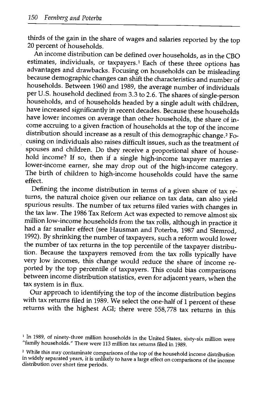thirds of the gain in the share of wages and salaries reported by the top 20 percent of households.

An income distribution can be defined over households, as in the CBO estimates, individuals, or taxpayers.<sup>1</sup> Each of these three options has advantages and drawbacks. Focusing on households can be misleading because demographic changes can shift the characteristics and number of households. Between 1960 and 1989, the average number of individuals per U.S. household declined from 3.3 to 2.6. The shares of single-person households, and of households headed by a single adult with children, have increased significantly in recent decades. Because these households have lower incomes on average than other households, the share of income accruing to a given fraction of households at the top of the income distribution should increase as a result of this demographic change.<sup>2</sup> Focusing on individuals also raises difficult issues, such as the treatment of spouses and children. Do they receive a proportional share of household income? If so, then if a single high-income taxpayer marries a lower-income earner, she may drop out of the high-income category. The birth of children to high-income households could have the same effect.

Defining the income distribution in terms of a given share of tax returns, the natural choice given our reliance on tax data, can also yield spurious results. The number of tax returns filed varies with changes in the tax law. The 1986 Tax Reform Act was expected to remove almost six<br>million low-income households from the tax rolls, although in practice it had a far smaller effect (see Hausman and Poterba, 1987 and Slemrod, 1992). By shrinking the number of taxpayers, such a reform would lower the number of tax returns in the top percentile of the taxpayer distribution. Because the taxpayers removed from the tax rolls typically have very low incomes, this change would reduce the share of income reported by the top percentile of taxpayers. This could bias comparisons between income distribution statistics, even for adjacent years, when the

tax system is in flux.<br>Our approach to identifying the top of the income distribution begins with tax returns filed in 1989. We select the one-half of 1 percent of these returns with the highest AGI; there were 558,778 tax returns in this

<sup>&</sup>lt;sup>1</sup> In 1989, of ninety-three million households in the United States, sixty-six million were "family households." There were 113 million tax returns filed in 1989.

<sup>2</sup> While this may contaminate comparisons of the top of the household income distribution in widely separated years, it is unlikely to have a large effect on comparisons of the income distribution over short time periods.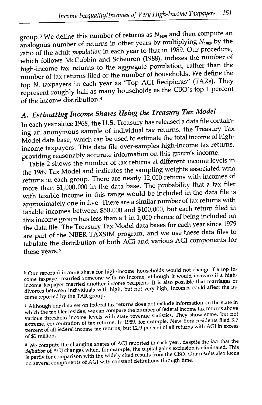group.<sup>3</sup> We define this number of returns as  $N_{1989}$  and then compute an analogous number of returns in other years by multiplying  $N_{1989}$  by the ratio of the adult population in each year to that in 1989. Our procedure, which follows McCubbin and Scheuren (1988), indexes the number of high-income tax returns to the aggregate population, rather than the number of tax returns filed or the number of households. We define the top  $N_t$  taxpayers in each year as "Top AGI Recipients" (TARs). They represent roughly half as many households as the CBO's top 1 percent of the income distribution.4

# A. Estimating Income Shares Using the Treasury Tax Model

In each year since 1968, the U.S. Treasury has released a data file containing an anonymous sample of individual tax returns, the Treasury Tax Model data base, which can be used to estimate the total income of highincome taxpayers. This data file over-samples high-income tax returns, providing reasonably accurate information on this group's income.

Table 2 shows the number of tax returns at different income levels in the 1989 Tax Model and indicates the sampling weights associated with returns in each group. There are nearly 12,000 returns with incomes of more than \$1,000,000 in the data base. The probability that a tax filer with taxable income in this range would be included in the data file is approximately one in five. There are a similar number of tax returns with taxable incomes between \$50,000 and \$100,000, but each return filed in this income group has less than a 1 in 1,000 chance of being included on the data file. The Treasury Tax Model data bases for each year since 1979 are part of the NBER TAXSIM program, and we use these data files to tabulate the distribution of both AGI and various AGI components for these years.<sup>5</sup>

Our reported income share for high-income households would not change if a top in come taxpayer married someone with no income, although it would increase if a highincome taxpayer married another income recipient. It is also possible that marriages or divorces between individuals with high, but not very high, incomes could affect the income reported by the TAR group.

<sup>&</sup>quot;Although our data set on federal tax returns does not include information on the state in which the tax filer resides, we can compare the number of federal income tax returns above various threshold income levels with state revenue statistics. They show some, but not extreme, concentration of tax returns. In 1989, for example, New York residents filed 3.7 percent of all federal income tax returns, but 12.9 percent of all returns with AGI in excess of \$1 million.

<sup>&</sup>lt;sup>5</sup> We compute the changing shares of AGI reported in each year, despite the fact that the definition of AGI changes when, for example, the capital gains exclusion is eliminated. This is partly for comparison with the widely cited results from the CBO. Our results also focus on several components of AGI with constant definitions through time.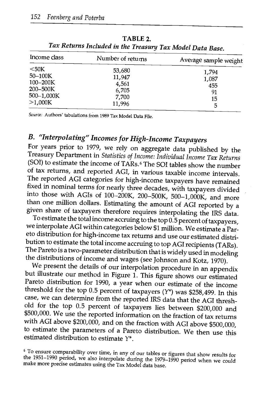| Income class | Number of returns | Average sample weight |
|--------------|-------------------|-----------------------|
| $50K$        | 53,680            | 1,794                 |
| $50 - 100K$  | 11,947            | 1,087                 |
| $100 - 200K$ | 4,561             | 455                   |
| $200 - 500K$ | 6,705             | 91                    |
| 500-1,000K   | 7,700             | 15                    |
| >1,000K      | 11,996            | 5                     |

TABLE 2. Tax Returns Included in the Treasury Tax Model Data Base.

Source: Authors' tabulations from 1989 Tax Model Data File.

## B. "Interpolating" Incomes for High-Income Taxpayers

For years prior to 1979, we rely on aggregate data published by the Treasury Department in Statistics of Income: Individual Income Tax Returns (SOT) to estimate the income of TARs.6 The SOT tables show the number of tax returns, and reported ACT, in various taxable income intervals. The reported ACT categories for high-income taxpayers have remained fixed in nominal terms for nearly three decades, with taxpayers divided

than one million dollars. Estimating the amount of AGI reported by a given share of taxpayers therefore requires interpolating the IRS data. To estimate the total income accruing to the top  $0.5$  percent of taxpayers, we eto distribution for high-income tax returns and use our estimated distribution to estimate the total income accruing to top AGI recipients (TARs). The Pareto is a two-parameter distribution that is widely used in modeling<br>the distributions of income and wages (see Johnson and Kotz, 1970).

We present the details of our interpolation procedure in an appendix<br>but illustrate our method in Figure 1. This figure shows our estimated<br>Pareto distribution for 1990, a year when our estimate of the income<br>threshold fo case, we can determine from the reported IRS data that the AGI thresh- old for the top 0.5 percent of taxpayers lies between \$200,000 and \$500,000. We use the reported information on the fraction of tax returns with ACT above \$200,000, and on the fraction with ACT above \$500,000, to estimate the parameters of a Pareto distribution. We then use this estimated distribution to estimate  $Y^*$ .

 $\degree$  To ensure comparability over time, in any of our tables or figures that show results for the 1951–1990 period, we also interpolate during the 1979–1990 period when we could make more precise estimates using the Tax M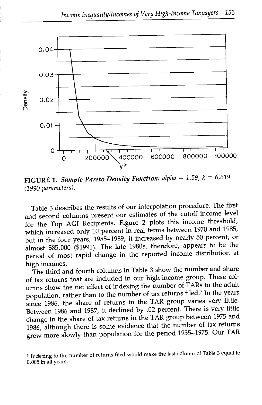

FIGURE 1. Sample Pareto Density Function: alpha =  $1.59$ ,  $k = 6,619$ (1990 parameters).

Table 3 describes the results of our interpolation procedure. The first and second columns present our estimates of the cutoff income level for the Top ACT Recipients. Figure 2 plots this income threshold, which increased only 10 percent in real terms between 1970 and 1985, but in the four years, 1985-1989, it increased by nearly 50 percent, or almost \$85,000 (\$1991). The late 1980s, therefore, appears to be the period of most rapid change in the reported income distribution at high incomes.

The third and fourth columns in Table 3 show the number and share of tax returns that are included in our high-income group. These columns show the net effect of indexing the number of TARs to the adult population, rather than to the number of tax returns filed.<sup>7</sup> In the years since 1986, the share of returns in the TAR group varies very little. Between 1986 and 1987, it declined by .02 percent. There is very little change in the share of tax returns in the TAR group between 1975 and 1986, although there is some evidence that the number of tax returns grew more slowly than population for the period 1955-1975. Our TAR

Indexing to the number of returns filed would make the last column of Table 3 equal to 0.005 in all years.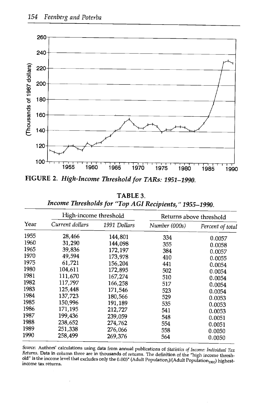

FIGURE 2. High-Income Threshold for TARs: 1951-1990.

| TABLE 3.                                               |
|--------------------------------------------------------|
| Income Thresholds for "Top AGI Recipients," 1955–1990. |

|      |                 | High-income threshold |               | Returns above threshold |  |  |
|------|-----------------|-----------------------|---------------|-------------------------|--|--|
| Year | Current dollars | 1991 Dollars          | Number (000s) | Percent of total        |  |  |
| 1955 | 28,466          | 144,801               | 334           | 0.0057                  |  |  |
| 1960 | 31,290          | 144,098               | 355           | 0.0058                  |  |  |
| 1965 | 39,836          | 172,197               | 384           | 0.0057                  |  |  |
| 1970 | 49,594          | 173,978               | 410           | 0.0055                  |  |  |
| 1975 | 61,721          | 156,204               | 441           | 0.0054                  |  |  |
| 1980 | 104,611         | 172,895               | 502           | 0.0054                  |  |  |
| 1981 | 111,670         | 167,274               | 510           | 0.0054                  |  |  |
| 1982 | 117,797         | 166,258               | 517           | 0.0054                  |  |  |
| 1983 | 125,448         | 171,546               | 523           | 0.0054                  |  |  |
| 1984 | 137,723         | 180.566               | 529           | 0.0053                  |  |  |
| 1985 | 150.996         | 191,189               | 535           | 0.0053                  |  |  |
| 1986 | 171,195         | 212,727               | 541           | 0.0053                  |  |  |
| 1987 | 199,436         | 239,059               | 548           | 0.0051                  |  |  |
| 1988 | 238,652         | 274,762               | 554           | 0.0051                  |  |  |
| 1989 | 251,338         | 276,066               | 558           | 0.0050                  |  |  |
| 1990 | 258,499         | 269,376               | 564           | 0.0050                  |  |  |

Source: Authors' calculations using data from annual publications of Statistics of Income: Individual Tax Bettirms. Data in column three are in thousands of returns. The definition of the "high income threshold" is the income level that excludes only the 0.005\* (Adult Population,)/(Adult Population<sub>1990</sub>) highest-<br>income tax r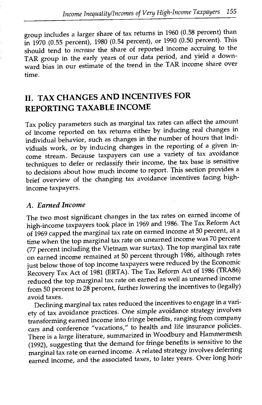group includes a larger share of tax returns in 1960 (0.58 percent) than in 1970 (0.55 percent), 1980 (0.54 percent), or 1990 (0.50 percent). This should tend to *increase* the share of reported income accruing to the TAR group in the early years of our data period, and yield a downward bias in our estimate of the trend in the TAR income share over time.

## II. TAX CHANGES AND INCENTIVES FOR REPORTING TAXABLE INCOME

Tax policy parameters such as marginal tax rates can affect the amount of income reported on tax returns either by inducing real changes in individual behavior, such as changes in the number of hours that individuals work, or by inducing changes in the reporting of a given income stream. Because taxpayers can use a variety of tax avoidance techniques to defer or reclassify their income, the tax base is sensitive to decisions about how much income to report. This section provides a brief overview of the changing tax avoidance incentives facing highincome taxpayers.

#### A. Earned Income

The two most significant changes in the tax rates on earned income of high-income taxpayers took place in 1969 and 1986. The Tax Reform Act of 1969 capped the marginal tax rate on earned income at 50 percent, at a time when the top marginal tax rate on unearned income was 70 percent (77 percent including the Vietnam war surtax). The top marginal tax rate on earned income remained at 50 percent through 1986, although rates just below those of top income taxpayers were reduced by the Economic Recovery Tax Act of 1981 (ERTA). The Tax Reform Act of 1986 (TRA86) reduced the top marginal tax rate on earned as well as unearned income from 50 percent to 28 percent, further lowering the incentives to (legally) avoid taxes.

Declining marginal tax rates reduced the incentives to engage in a variety of tax avoidance practices. One simple avoidance strategy involves transforming earned income into fringe benefits, ranging from company cars and conference "vacations," to health and life insurance policies. There is a large literature, summarized in Woodbury and Hammermesh (1992), suggesting that the demand for fringe benefits is sensitive to the marginal tax rate on earned income. A related strategy involves deferring earned income, and the associated taxes, to later years. Over long hori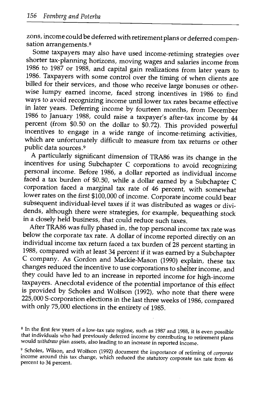zons, income could be deferred with retirement plans or deferred compensation arrangements. $8$  Some taxpayers may also have used income-retiming strategies over

shorter tax-planning horizons, moving wages and salaries income from 1986 to 1987 or 1988, and capital gain realizations from later years to 1986. Taxpayers with some control over the timing of when clients are billed for their services, and those who receive large bonuses or other-<br>wise lumpy earned income, faced strong incentives in 1986 to find ways to avoid recognizing income until lower tax rates became effective in later years. Deferring income by fourteen months, from December 1986 to January 1988, could raise a taxpayer's after-tax income by 44<br>percent (from \$0.50 on the dollar to \$0.72). This provided powerful<br>incentives to engage in a wide range of income-retiming activities,<br>which are unfort public data sources.9

A particularly significant dimension of TRA86 was its change in the incentives for using Subchapter C corporations to avoid recognizing personal income. Before 1986, a dollar reported as individual income faced a tax burden of \$0.50, while a dollar earned by a Subchapter C corporation faced a marginal tax rate of 46 percent, with somewhat lower rates on the first \$100,000 of income. Corporate income could bear<br>subsequent individual-level taxes if it was distributed as wages or divisubsequent individual there were strategies, for example, bequeathing stock in a closely held business, that could reduce such taxes.<br>After TRA86 was fully phased in, the top personal income tax rate was

below the corporate tax rate. A dollar of income reported directly on an individual income tax return faced a tax burden of 28 percent starting in 1988, compared with at least 34 percent if it was earned by a Subchapter C company. As Gordon and Mackie-Mason (1990) explain, these tax changes reduced the incentive to use corporations to shelter income, and they could have led to an increase in reported income for high-income taxpayers. Anecdotal evidence of the potential importance of this effect is provided by Scholes and Wolfson (1992), who note that there were 225,000 S-corporation elections in the last three weeks of 1986, compared with only 75,000 elections in the entirety of 1985.

<sup>&</sup>lt;sup>8</sup> In the first few years of a low-tax rate regime, such as 1987 and 1988, it is even possible that individuals who had previously deferred income by contributing to retirement plans would withdraw plan assets, also leading to an increase in reported income.

 $9$  Scholes, Wilson, and Wolfson (1992) document the importance of retiming of *corporate* income around this tax change, which reduced the statutory corporate tax rate from 46 percent to 34 percent.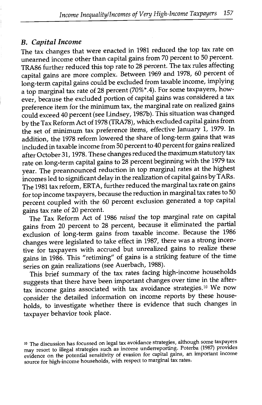#### B. Capital Income

The tax changes that were enacted in 1981 reduced the top tax rate on unearned income other than capital gains from 70 percent to 50 percent. TRA86 further reduced this top rate to 28 percent. The tax rules affecting capital gains are more complex. Between 1969 and 1978, 60 percent of long-term capital gains could be excluded from taxable income, implying a top marginal tax rate of 28 percent (70%\*.4). For some taxpayers, however, because the excluded portion of capital gains was considered a tax preference item for the minimum tax, the marginal rate on realized gains could exceed 40 percent (see Lindsey, 198Th). This situation was changed by the Tax Reform Act of 1978 (TRA78), which excluded capital gains from the set of minimum tax preference items, effective January 1, 1979. In addition, the 1978 reform lowered the share of long-term gains that was included in taxable income from 50 percent to 40 percent for gains realized after October 31, 1978. These changes reduced the maximum statutory tax rate on long-term capital gains to 28 percent beginning with the 1979 tax year. The preannounced reduction in top marginal rates at the highest incomes led to significant delay in the realizationof capital gains by TARs. The 1981 tax reform, ERTA, further reduced the marginal tax rate on gains for top income taxpayers, because the reduction in marginal tax rates to 50 percent coupled with the 60 percent exclusion generated a top capital gains tax rate of 20 percent.

The Tax Reform Act of 1986 raised the top marginal rate on capital gains from 20 percent to 28 percent, because it eliminated the partial exclusion of long-term gains from taxable income. Because the 1986 changes were legislated to take effect in 1987, there was a strong incentive for taxpayers with accrued but unrealized gains to realize these gains in 1986. This "retiming" of gains is a striking feature of the time series on gain realizations (see Auerbach, 1988).

This brief summary of the tax rates facing high-income households suggests that there have been important changes over time in the aftertax income gains associated with tax avoidance strategies.1° We now consider the detailed information on income reports by these households, to investigate whether there is evidence that such changes in taxpayer behavior took place.

<sup>10</sup> The discussion has focussed on legal tax avoidance strategies, although some taxpayers may resort to illegal strategies such as income underreporting. Poterba (1987) provides evidence on the potential sensitivity of evasion for capital gains, an important income source for high-income households, with respect to marginal tax rates.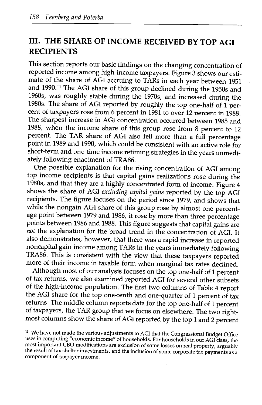#### III. THE SHARE OF INCOME RECEIVED BY TOP AGI RECIPIENTS

This section reports our basic findings on the changing concentration of reported income among high-income taxpayers. Figure 3 shows our estimate of the share of AGI accruing to TARs in each year between 1951 and 1990.<sup>11</sup> The AGI share of this group declined during the 1950s and 1960s, was roughly stable during the 1970s, and increased during the 1980s. The share of ACT reported by roughly the top one-half of 1 percent of taxpayers rose from 6 percent in 1981 to over 12 percent in 1988. The sharpest increase in ACT concentration occurred between 1985 and 1988, when the income share of this group rose from 8 percent to 12 percent. The TAR share of AGI also fell more than a full percentage point in 1989 and 1990, which could be consistent with an active role for short-term and one-time income retiming strategies in the years immediately following enactment of TRA86.

One possible explanation for the rising concentration of ACI among top income recipients is that capital gains realizations rose during the 1980s, and that they are a highly concentrated form of income. Figure 4 shows the share of AGI excluding capital gains reported by the top AGI recipients. The figure focuses on the period since 1979, and shows that while the nongain AGI share of this group rose by almost one percentage point between 1979 and 1986, it rose by more than three percentage points between 1986 and 1988. This figure suggests that capital gains are not the explanation for the broad trend in the concentration of AGI. It also demonstrates, however, that there was a rapid increase in reported noncapital gain income among TARs in the years immediately following TRA86. This is consistent with the view that these taxpayers reported more of their income in taxable form when marginal tax rates declined.

Although most of our analysis focuses on the top one-half of 1 percent of tax returns, we also examined reported ACT for several other subsets of the high-income population. The first two columns of Table 4 report the AGI share for the top one-tenth and one-quarter of 1 percent of tax returns. The middle column reports data for the top one-half of 1 percent of taxpayers, the TAR group that we focus on elsewhere. The two rightmost columns show the share of ACT reported by the top 1 and 2 percent

<sup>&</sup>lt;sup>11</sup> We have not made the various adjustments to AGI that the Congressional Budget Office uses in computing "economic income" of households. For households in our AGI class, the most important CBO modifications are exclusion of some losses on real property, arguably the result of tax shelter investments, and the inclusion of some corporate tax payments as a component of taxpayer income.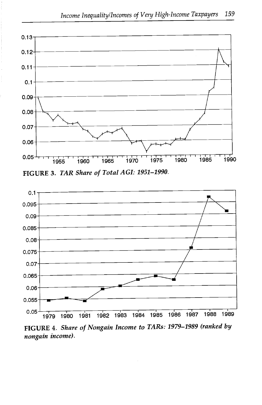

FIGURE 3. TAR Share of Total AGI: 1951-1990.



FIGURE 4. Share of Nongain Income to TARs: 1979-1989 franked by nongain income).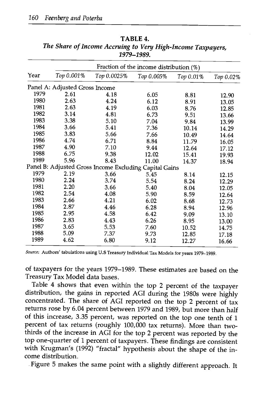|      |                                |                                                        | Fraction of the income distribution $(\%)$ |           |           |
|------|--------------------------------|--------------------------------------------------------|--------------------------------------------|-----------|-----------|
| Year | Top 0.001%                     | Тор 0.0025%                                            | Top 0.005%                                 | Тор 0.01% | Тор 0.02% |
|      | Panel A: Adjusted Gross Income |                                                        |                                            |           |           |
| 1979 | 2.61                           | 4.18                                                   | 6.05                                       | 8.81      | 12.90     |
| 1980 | 2.63                           | 4.24                                                   | 6.12                                       | 8.91      | 13.05     |
| 1981 | 2.63                           | 4.19                                                   | 6.03                                       | 8.76      | 12.85     |
| 1982 | 3.14                           | 4.81                                                   | 6.73                                       | 9.51      | 13.66     |
| 1983 | 3.38                           | 5.10                                                   | 7.04                                       | 9.84      | 13.99     |
| 1984 | 3.66                           | 5.41                                                   | 7.36                                       | 10.14     | 14.29     |
| 1985 | 3.83                           | 5.66                                                   | 7.66                                       | 10.49     | 14.64     |
| 1986 | 4.74                           | 6.71                                                   | 8.84                                       | 11.79     | 16.05     |
| 1987 | 4.90                           | 7.10                                                   | 9.44                                       | 12.64     | 17.12     |
| 1988 | 6.75                           | 9.38                                                   | 12.02                                      | 15.41     | 19.93     |
| 1989 | 5.96                           | 8.43                                                   | 11.00                                      | 14.37     | 18.94     |
|      |                                | Panel B: Adjusted Gross Income Excluding Capital Gains |                                            |           |           |
| 1979 | 2.19                           | 3.66                                                   | 5.45                                       | 8.14      | 12.15     |
| 1980 | 2.24                           | 3.74                                                   | 5.54                                       | 8.24      | 12.29     |
| 1981 | 2.20                           | 3.66                                                   | 5.40                                       | 8.04      | 12.05     |
| 1982 | 2.54                           | 4.08                                                   | 5.90                                       | 8.59      | 12.64     |
| 1983 | 2.66                           | 4.21                                                   | 6.02                                       | 8.68      | 12.73     |
| 1984 | 2.87                           | 4.46                                                   | 6.28                                       | 8.94      | 12.96     |
| 1985 | 2.95                           | 4.58                                                   | 6.42                                       | 9.09      | 13.10     |
| 1986 | 2.83                           | 4.43                                                   | 6.26                                       | 8.95      | 13.00     |
| 1987 | 3.65                           | 5.53                                                   | 7.60                                       | 10.52     | 14.75     |
| 1988 | 5.09                           | 7.37                                                   | 9.73                                       | 12.85     | 17.18     |
| 1989 | 4.62                           | 6.80                                                   | 9.12                                       | 12.27     | 16.66     |

TABLE 4. The Share of Income Accruing to Very High-Income Taxpayers, 1979-1989.

Source: Authors' tabulations using U.S Treasury Individual Tax Models for years 1979-1989.

of taxpayers for the years 1979-1989. These estimates are based on the Treasury Tax Model data bases.

Table 4 shows that even within the top 2 percent of the taxpayer distribution, the gains in reported AGI during the 1980s were highly concentrated. The share of AGI reported on the top 2 percent of tax returns rose by 6.04 percent between 1979 and 1989, but more than half of this increase, 3.35 percent, was reported on the top one tenth of 1 percent of tax returns (roughly 100,000 tax returns). More than twothirds of the increase in AGI for the top 2 percent was reported by the top one-quarter of 1 percent of taxpayers. These findings are consistent with Krugman's (1992) "fractal" hypothesis about the shape of the income distribution.

Figure 5 makes the same point with a slightly different approach. It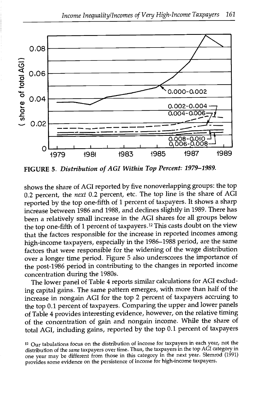

FIGURE 5. Distribution of AGI Within Top Percent: 1979-1989.

shows the share of AGI reported by five nonoverlapping groups: the top 0.2 percent, the next 0.2 percent, etc. The top line is the share of AGI reported by the top one-fifth of 1 percent of taxpayers. It shows a sharp increase between 1986 and 1988, and declines slightly in 1989. There has been a relatively small increase in the AGI shares for all groups below the top one-fifth of 1 percent of taxpayers.12 This casts doubt on the view that the factors responsible for the increase in reported incomes among high-income taxpayers, especially in the 1986-1988 period, are the same factors that were responsible for the widening of the wage distribution over a longer time period. Figure 5 also underscores the importance of the post-1986 period in contributing to the changes in reported income concentration during the 1980s.

The lower panel of Table 4 reports similar calculations for AGI excluding capital gains. The same pattern emerges, with more than half of the increase in nongain AGI for the top 2 percent of taxpayers accruing to the top 0.1 percent of taxpayers. Comparing the upper and lower panels of Table 4 provides interesting evidence, however, on the relative timing of the concentration of gain and nongain income. While the share of total AGI, including gains, reported by the top 0.1 percent of taxpayers

<sup>12</sup> Our tabulations focus on the distribution of income for taxpayers in each year, not the distribution of the same taxpayers over time. Thus, the taxpayers in the top AGI category in one year may be different from those in this category in the next year. Slemrod (1991) provides some evidence on the persistence of income for high-income taxpayers.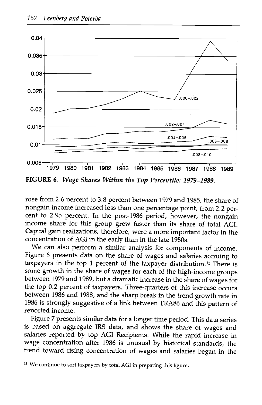

FIGURE 6. Wage Shares Within the Top Percentile: 1979-1989.

rose from 2.6 percent to 3.8 percent between 1979 and 1985, the share of nongain income increased less than one percentage point, from 2.2 percent to 2.95 percent. In the post-1986 period, however, the nongain income share for this group grew faster than its share of total AGI. Capital gain realizations, therefore, were a more important factor in the concentration of AGI in the early than in the late 1980s.

We can also perform a similar analysis for components of income. Figure 6 presents data on the share of wages and salaries accruing to taxpayers in the top 1 percent of the taxpayer distribution.<sup>13</sup> There is some growth in the share of wages for each of the high-income groups between 1979 and 1989, but a dramatic increase in the share of wages for the top 0.2 percent of taxpayers. Three-quarters of this increase occurs between 1986 and 1988, and the sharp break in the trend growth rate in 1986 is strongly suggestive of a link between TRA86 and this pattern of reported income.

Figure 7 presents similar data for a longer time period. This data series is based on aggregate IRS data, and shows the share of wages and salaries reported by top AGI Recipients. While the rapid increase in wage concentration after 1986 is unusual by historical standards, the trend toward rising concentration of wages and salaries began in the

<sup>&</sup>lt;sup>13</sup> We continue to sort taxpayers by total AGI in preparing this figure.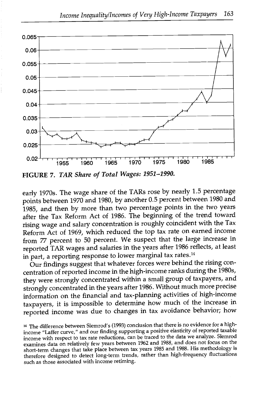

FIGURE 7. TAR Share of Total Wages: 1951-1990.

early 1970s. The wage share of the TARs rose by nearly 1.5 percentage points between 1970 and 1980, by another 0.5 percent between 1980 and 1985, and then by more than two percentage points in the two years after the Tax Reform Act of 1986. The beginning of the trend toward rising wage and salary concentration is roughly coincident with the Tax Reform Act of 1969, which reduced the top tax rate on earned income from 77 percent to 50 percent. We suspect that the large increase in reported TAR wages and salaries in the years after 1986 reflects, at least in part, a reporting response to lower marginal tax rates.14

Our findings suggest that whatever forces were behind the rising concentration of reported income in the high-income ranks during the 1980s, they were strongly concentrated within a small group of taxpayers, and strongly concentrated in the years after 1986. Without much more precise information on the financial and tax-planning activities of high-income taxpayers, it is impossible to determine how much of the increase in reported income was due to changes in tax avoidance behavior; how

<sup>4</sup> The difference between Slemrod's (1993) conclusion that there is no evidence for a highincome "Laffer curve," and our finding supporting a positive elasticity of reported taxable income with respect to tax rate reductions, can be traced to the data we analyze. Slemrod examines data on relatively few years between 1962 and 1988, and does not focus on the short-term changes that take place between tax years 1985 and 1988. His methodology is therefore designed to detect long-term trends, rather than high-frequency fluctuations such as those associated with income retiming.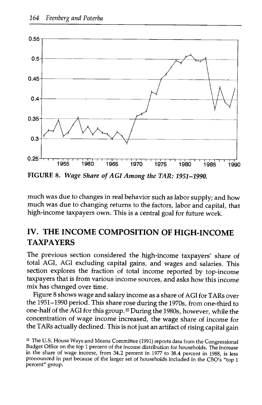

FIGURE 8. Wage Share of AGI Among the TAR: 1951-1990.

much was due to changes in real behavior such as labor supply; and how much was due to changing returns to the factors, labor and capital, that high-income taxpayers own. This is a central goal for future work.

#### IV. THE INCOME COMPOSITION OF HIGH-INCOME TAXPAYERS

The previous section considered the high-income taxpayers' share of total ACT, AGI excluding capital gains, and wages and salaries. This section explores the fraction of total income reported by top-income taxpayers that is from various income sources, and asks how this income mix has changed over time.

Figure 8 shows wage and salary income as a share of ACT for TARs over the 1951-1990 period. This share rose during the 1970s, from one-third to one-half of the ACT for this group. 15 During the 1980s, however, while the concentration of wage income increased, the wage share of income for the TARs actually declined. This is not just an artifact of rising capital gain

<sup>&</sup>lt;sup>15</sup> The U.S. House Ways and Means Committee (1991) reports data from the Congressional Budget Office on the top 1 percent of the income distribution for households. The increase in the share of wage income, from 34.2 percent in 1977 to 38.4 percent in 1988, is less pronounced in part because of the larger set of households included in the CBO's "top 1 percent" group.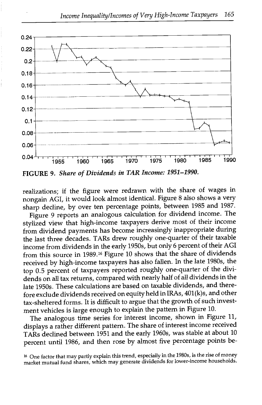

FIGURE 9. Share of Dividends in TAR Income: 1951-1990.

realizations; if the figure were redrawn with the share of wages in nongain AGI, it would look almost identical. Figure 8 also shows a very sharp decline, by over ten percentage points, between 1985 and 1987.

Figure 9 reports an analogous calculation for dividend income. The stylized view that high-income taxpayers derive most of their income from dividend payments has become increasingly inappropriate during the last three decades. TARs drew roughly one-quarter of their taxable income from dividends in the early 1950s, but only 6 percent of their ACT from this source in 1989.16 Figure 10 shows that the share of dividends received by high-income taxpayers has also fallen. In the late 1980s, the top 0.5 percent of taxpayers reported roughly one-quarter of the dividends on all tax returns, compared with nearly half of all dividends in the late 1950s. These calculations are based on taxable dividends, and therefore exclude dividends received on equity held in TRAs, 401(k)s, and other tax-sheltered forms. Tt is difficult to argue that the growth of such investment vehicles is large enough to explain the pattern in Figure 10.

The analogous time series for interest income, shown in Figure 11, displays a rather different pattern. The share of interest income received TARs declined between 1951 and the early 1960s, was stable at about 10 percent until 1986, and then rose by almost five percentage points be-

<sup>16</sup> One factor that may partly explain this trend, especially in the 1980s, is the rise of money market mutual fund shares, which may generate dividends for lower-income households.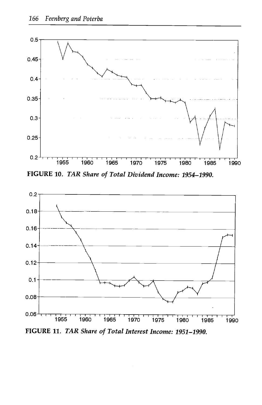

FIGURE 10. TAR Share of Total Dividend Income: 1954-1990.

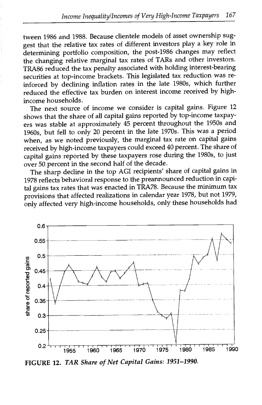tween 1986 and 1988. Because clientele models of asset ownership suggest that the relative tax rates of different investors play a key role in determining portfolio composition, the post-1986 changes may reflect the changing relative marginal tax rates of TARs and other investors. TRA86 reduced the tax penalty associated with holding interest-bearing securities at top-income brackets. This legislated tax reduction was reinforced by declining inflation rates in the late 1980s, which further reduced the effective tax burden on interest income received by highincome households.

The next source of income we consider is capital gains. Figure 12 shows that the share of all capital gains reported by top-income taxpayers was stable at approximately 45 percent throughout the 1950s and 1960s, but fell to only 20 percent in the late 1970s. This was a period when, as we noted previously, the marginal tax rate on capital gains received by high-income taxpayers could exceed 40 percent. The share of capital gains reported by these taxpayers rose during the 1980s, to just over 50 percent in the second half of the decade.

The sharp decline in the top AGI recipients' share of capital gains in 1978 reflects behavioral response to the preannounced reduction in capital gains tax rates that was enacted in TRA78. Because the minimum tax provisions that affected realizations in calendar year 1978, but not 1979, only affected very high-income households, only these households had



FIGURE 12. TAR Share of Net Capital Gains: 1951-1990.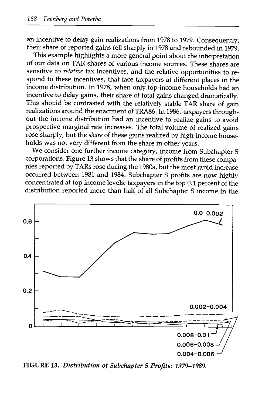an incentive to delay gain realizations from 1978 to 1979. Consequently, their share of reported gains fell sharply in 1978 and rebounded in 1979.

This example highlights a more general point about the interpretation of our data on TAR shares of various income sources. These shares are sensitive to relative tax incentives, and the relative opportunities to respond to these incentives, that face taxpayers at different places in the income distribution. In 1978, when only top-income households had an incentive to delay gains, their share of total gains changed dramatically. This should be contrasted with the relatively stable TAR share of gain realizations around the enactment of TRA86. In 1986, taxpayers throughout the income distribution had an incentive to realize gains to avoid prospective marginal rate increases. The total volume of realized gains rose sharply, but the share of these gains realized by high-income households was not very different from the share in other years.

We consider one further income category, income from Subchapter S corporations. Figure 13 shows that the share of profits from these companies reported by TARs rose during the 1980s, but the most rapid increase occurred between 1981 and 1984. Subchapter S profits are now highly concentrated at top income levels: taxpayers in the top 0.1 percent of the distribution reported more than half of all Subchapter S income in the



FIGURE 13. Distribution of Subchapter S Profits: 1979-1989.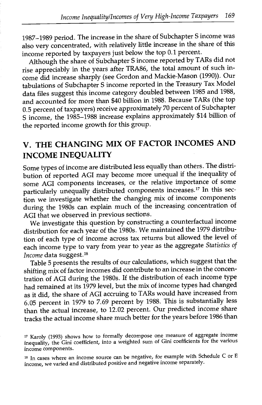1987-1989 period. The increase in the share of Subchapter S income was also very concentrated, with relatively little increase in the share of this income reported by taxpayers just below the top 0.1 percent.

Although the share of Subchapter S income reported by TARs did not rise appreciably in the years after TRA86, the total amount of such income did increase sharply (see Gordon and Mackie-Mason (1990)). Our tabulations of Subchapter S income reported in the Treasury Tax Model data files suggest this income category doubled between 1985 and 1988, and accounted for more than \$40 billion in 1988. Because TARs (the top 0.5 percent of taxpayers) receive approximately 70 percent of Subchapter S income, the 1985-1988 increase explains approximately \$14 billion of the reported income growth for this group.

## V. THE CHANGING MIX OF FACTOR INCOMES AND INCOME INEQUALITY

Some types of income are distributed less equally than others. The distribution of reported AGI may become more unequal if the inequality of some AGI components increases, or the relative importance of some particularly unequally distributed components increases.17 In this section we investigate whether the changing mix of income components during the 1980s can explain much of the increasing concentration of AGI that we observed in previous sections.

We investigate this question by constructing a counterfactual income distribution for each year of the 1980s. We maintained the 1979 distribution of each type of income across tax returns but allowed the level of each income type to vary from year to year as the aggregate Statistics of Income data suggest. 18

Table 5 presents the results of our calculations, which suggest that the shifting mix of factor incomes did contribute to an increase in the concentration of ACT during the 1980s. If the distribution of each income type had remained at its 1979 level, but the mix of income types had changed as it did, the share of ACT accruing to TARs would have increased from 6.05 percent in 1979 to 7.69 percent by 1988. This is substantially less than the actual increase, to 12.02 percent. Our predicted income share tracks the actual income share much better for the years before 1986 than

<sup>17</sup> Karoly (1993) shows how to formally decompose one measure of aggregate income inequality, the Gini coefficient, into a weighted sum of Gini coefficients for the various income components.

<sup>&</sup>lt;sup>18</sup> In cases where an income source can be negative, for example with Schedule C or E income, we varied and distributed positive and negative income separately.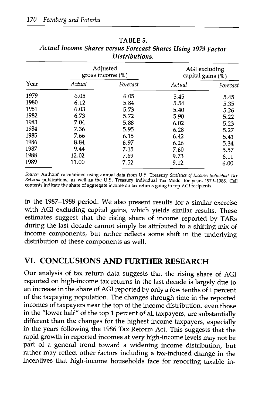|      | Adjusted<br>gross income $(\%)$ |          | AGI excluding<br>capital gains (%) |          |
|------|---------------------------------|----------|------------------------------------|----------|
| Year | Actual                          | Forecast | Actual                             | Forecast |
| 1979 | 6.05                            | 6.05     | 5.45                               | 5.45     |
| 1980 | 6.12                            | 5.84     | 5.54                               | 5.35     |
| 1981 | 6.03                            | 5.73     | 5.40                               | 5.26     |
| 1982 | 6.73                            | 5.72     | 5.90                               | 5.22     |
| 1983 | 7.04                            | 5.88     | 6.02                               | 5.23     |
| 1984 | 7.36                            | 5.95     | 6.28                               | 5.27     |
| 1985 | 7.66                            | 6.15     | 6.42                               | 5.41     |
| 1986 | 8.84                            | 6.97     | 6.26                               | 5.34     |
| 1987 | 9.44                            | 7.15     | 7.60                               | 5.57     |
| 1988 | 12.02                           | 7.69     | 9.73                               | 6.11     |
| 1989 | 11.00                           | 7.52     | 9.12                               | 6.00     |

TABLE 5. Actual Income Shares versus Forecast Shares Using 1979 Factor Distributions.

Source: Authors' calculations using annual data from U.S. Treasury Statistics of Income: Individual Tax Returns publications, as well as the U.S. Treasury Individual Tax Model for years 1979-1988. Cell contents indicate the share of aggregate income on tax returns going to top AGI recipients.

in the 1987-1988 period. We also present results for a similar exercise with AGI excluding capital gains, which yields similar results. These estimates suggest that the rising share of income reported by TARs during the last decade cannot simply be attributed to a shifting mix of income components, but rather reflects some shift in the underlying distribution of these components as well.

#### VI. CONCLUSIONS AND FURTHER RESEARCH

Our analysis of tax return data suggests that the rising share of AGI reported on high-income tax returns in the last decade is largely due to an increase in the share of AGI reported by only a few tenths of 1 percent of the taxpaying population. The changes through time in the reported incomes of taxpayers near the top of the income distribution, even those in the "lower half" of the top 1 percent of all taxpayers, are substantially different than the changes for the highest income taxpayers, especially in the years following the 1986 Tax Reform Act. This suggests that the rapid growth in reported incomes at very high-income levels may not be part of a general trend toward a widening income distribution, but rather may reflect other factors including a tax-induced change in the incentives that high-income households face for reporting taxable in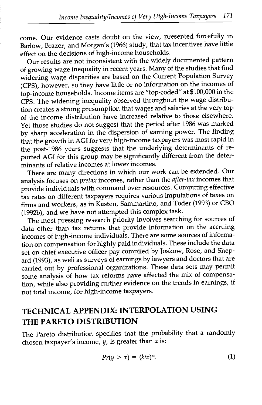come. Our evidence casts doubt on the view, presented forcefully in Barlow, Brazer, and Morgan's (1966) study, that tax incentives have little effect on the decisions of high-income households.

Our results are not inconsistent with the widely documented pattern of growing wage inequality in recent years. Many of the studies that find widening wage disparities are based on the Current Population Survey (CPS), however, so they have little or no information on the incomes of top-income households. Income items are "top-coded" at \$100,000 in the CPS. The widening inequality observed throughout the wage distribution creates a strong presumption that wages and salaries at the very top of the income distribution have increased relative to those elsewhere. Yet those studies do not suggest that the period after 1986 was marked by sharp acceleration in the dispersion of earning power. The finding that the growth in AGI for very high-income taxpayers was most rapid in the post-1986 years suggests that the underlying determinants of reported AGI for this group may be significantly different from the determinants of relative incomes at lower incomes.

There are many directions in which our work can be extended. Our analysis focuses on pretax incomes, rather than the after-tax incomes that provide individuals with command over resources. Computing effective tax rates on different taxpayers requires various imputations of taxes on firms and workers, as in Kasten, Sammartino, and Toder (1993) or CBO (1992b), and we have not attempted this complex task.

The most pressing research priority involves searching for sources of data other than tax returns that provide information on the accruing incomes of high-income individuals. There are some sources of information on compensation for highly paid individuals. These include the data set on chief executive officer pay compiled by Joskow, Rose, and Shepard (1993), as well as surveys of earnings by lawyers and doctors that are carried out by professional organizations. These data sets may permit some analysis of how tax reforms have affected the mix of compensation, while also providing further evidence on the trends in earnings, if not total income, for high-income taxpayers.

#### TECHNICAL APPENDIX: INTERPOLATION USING THE PARETO DISTRIBUTION

The Pareto distribution specifies that the probability that a randomly chosen taxpayer's income,  $y$ , is greater than  $x$  is:

$$
Pr(y > x) = (k/x)^{\alpha}.
$$
 (1)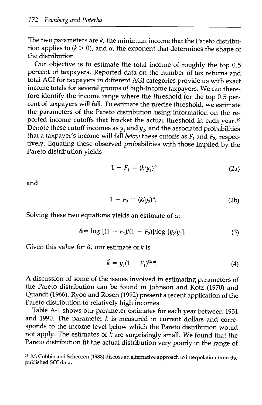The two parameters are  $k$ , the minimum income that the Pareto distribution applies to  $(k > 0)$ , and  $\alpha$ , the exponent that determines the shape of the distribution.

Our objective is to estimate the total income of roughly the top 0.5 percent of taxpayers. Reported data on the number of tax returns and total AGI for taxpayers in different AGI categories provide us with exact income totals for several groups of high-income taxpayers. We can therefore identify the income range where the threshold for the top 0.5 percent of taxpayers will fall. To estimate the precise threshold, we estimate the parameters of the Pareto distribution using information on the reported income cutoffs that bracket the actual threshold in each year. <sup>19</sup> Denote these cutoff incomes as  $y_1$  and  $y_2$ , and the associated probabilities that a taxpayer's income will fall *below* these cutoffs as  $F_1$  and  $F_2$ , respectively. Equating these observed probabilities with those implied by the Pareto distribution yields

$$
1 - F_1 = (k/y_1)^\alpha \tag{2a}
$$

and

$$
1 - F_2 = (k/y_2)^\alpha. \tag{2b}
$$

Solving these two equations yields an estimate of  $\alpha$ .

$$
\hat{\alpha} = \log\left[ (1 - F_1)/(1 - F_2) \right] / \log\left[ y_2/y_1 \right]. \tag{3}
$$

Given this value for  $\hat{\alpha}$ , our estimate of k is

$$
\hat{k} = y_1 (1 - F_1)^{(1/\alpha)}.
$$
 (4)

A discussion of some of the issues involved in estimating parameters of the Pareto distribution can be found in Johnson and Kotz (1970) and Quandt (1966). Ryoo and Rosen (1992) present a recent application of the Pareto distribution to relatively high incomes.

Table A-i shows our parameter estimates for each year between 1951 and 1990. The parameter  $k$  is measured in current dollars and corresponds to the income level below which the Pareto distribution would not apply. The estimates of  $\hat{k}$  are surprisingly small. We found that the Pareto distribution fit the actual distribution very poorly in the range of

<sup>19</sup> McCubbin and Scheuren (1988) discuss an alternative approach to interpolation from the published SOl data.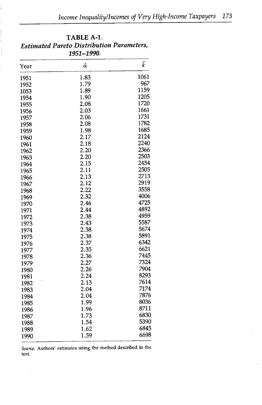|      | 1951-1990.     |      |
|------|----------------|------|
| Year | $\hat{\alpha}$ | ƙ    |
| 1951 | 1.83           | 1061 |
| 1952 | 1.79           | 967  |
| 1053 | 1.89           | 1159 |
| 1954 | 1.90           | 1205 |
| 1955 | 2.08           | 1720 |
| 1956 | 2.03           | 1661 |
| 1957 | 2.06           | 1731 |
| 1958 | 2.08           | 1782 |
| 1959 | 1.98           | 1685 |
| 1960 | 2.17           | 2124 |
| 1961 | 2.18           | 2240 |
| 1962 | 2.20           | 2366 |
| 1963 | 2.20           | 2503 |
| 1964 | 2.15           | 2454 |
| 1965 | 2.11           | 2505 |
| 1966 | 2.13           | 2713 |
| 1967 | 2.12           | 2919 |
| 1968 | 2.22           | 3558 |
| 1969 | 2.32           | 4006 |
| 1970 | 2.46           | 4725 |
| 1971 | 2.44           | 4892 |
| 1972 | 2.38           | 4959 |
| 1973 | 2.43           | 5587 |
| 1974 | 2.38           | 5674 |
| 1975 | 2.38           | 5891 |
| 1976 | 2.37           | 6342 |
| 1977 | 2.35           | 6621 |
| 1978 | 2.36           | 7445 |
| 1979 | 2.27           | 7324 |
| 1980 | 2.26           | 7904 |
| 1981 | 2.24           | 8293 |
| 1982 | 2.13           | 7614 |
| 1983 | 2.04           | 7174 |
| 1984 | 2.04           | 7876 |
| 1985 | 1.99           | 8036 |
| 1986 | 1.96           | 8711 |
| 1987 | 1.73           | 6830 |
| 1988 | 1.54           | 5390 |
| 1989 | 1.62           | 6845 |
|      | 1.59           | 6698 |
| 1990 |                |      |

# TABLE A-i. Estimated Pareto Distribution Parameters,

Source: Authors' estimates using the method described in the text.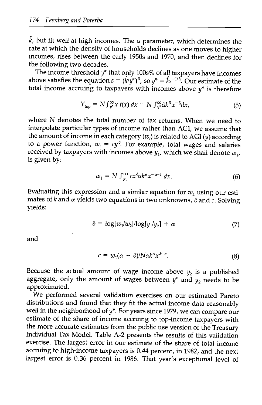$\hat{k}$ , but fit well at high incomes. The  $\alpha$  parameter, which determines the rate at which the density of households declines as one moves to higher incomes, rises between the early 1950s and 1970, and then declines for the following two decades.

The income threshold  $y^*$  that only 100s% of all taxpayers have incomes above satisfies the equation  $s = (\hat{k}/\hat{y}^*)^{\hat{\alpha}}$ , so  $y^* = \hat{k}s^{-1/\hat{\alpha}}$ . Our estimate of the total income accruing to taxpayers with incomes above  $y^*$  is therefore

$$
Y_{\text{top}} = N \int_{y^*}^{\infty} x f(x) dx = N \int_{y^*}^{\infty} \hat{\alpha} k^{\hat{\alpha}} x^{-\hat{\alpha}} dx, \tag{5}
$$

where N denotes the total number of tax returns. When we need to interpolate particular types of income rather than AGI, we assume that the amount of income in each category  $(w_i)$  is related to AGI  $(y)$  according to a power function,  $w_i = cy^{\delta}$ . For example, total wages and salaries received by taxpayers with incomes above  $y_1$ , which we shall denote  $w_1$ , is given by:

$$
w_1 = N \int_{y_1}^{\infty} c x^{\delta} \alpha k^{\alpha} x^{-\alpha - 1} dx. \tag{6}
$$

Evaluating this expression and a similar equation for  $w_2$  using our estimates of k and  $\alpha$  yields two equations in two unknowns,  $\delta$  and  $\alpha$ . Solving yields:

$$
\delta = \log[w_1/w_2] / \log[y_1/y_2] + \alpha \tag{7}
$$

and

$$
c = w_1(\alpha - \delta)/N\alpha k^{\alpha} x^{\delta - \alpha}.
$$
 (8)

Because the actual amount of wage income above  $y_2$  is a published aggregate, only the amount of wages between  $y^*$  and  $y_2$  needs to be approximated.

We performed several validation exercises on our estimated Pareto distributions and found that they fit the actual income data reasonably well in the neighborhood of  $y^*$ . For years since 1979, we can compare our estimate of the share of income accruing to top-income taxpayers with the more accurate estimates from the public use version of the Treasury Individual Tax Model. Table A-2 presents the results of this validation exercise. The largest error in our estimate of the share of total income accruing to high-income taxpayers is 0.44 percent, in 1982, and the next largest error is 0.36 percent in 1986. That year's exceptional level of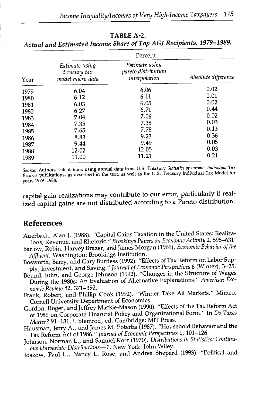|      | Percent                                            |                                                        |                     |  |  |
|------|----------------------------------------------------|--------------------------------------------------------|---------------------|--|--|
| Year | Estimate using<br>treasury tax<br>model micro-data | Estimate using<br>pareto distribution<br>interpolation | Absolute difference |  |  |
| 1979 | 6.04                                               | 6.06                                                   | 0.02                |  |  |
| 1980 | 6.12                                               | 6.11                                                   | 0.01                |  |  |
| 1981 | 6.03                                               | 6.05                                                   | 0.02                |  |  |
| 1982 | 6.27                                               | 6.71                                                   | 0.44                |  |  |
| 1983 | 7.04                                               | 7.06                                                   | 0.02                |  |  |
| 1984 | 7.35                                               | 7.38                                                   | 0.03                |  |  |
| 1985 | 7.65                                               | 7.78                                                   | 0.13                |  |  |
| 1986 | 8.83                                               | 9.23                                                   | 0.36                |  |  |
| 1987 | 9.44                                               | 9.49                                                   | 0.05                |  |  |
| 1988 | 12.02                                              | 12.05                                                  | 0.03                |  |  |
| 1989 | 11.00                                              | 11.21                                                  | 0.21                |  |  |

TABLE A-2. Actual and Estimated Income Share of Top AGI Recipients, 1979-1989.

Source: Authors' calculations using annual data from U.S. Treasury Statistics of Income: Individual Tax Returns publications, as described in the text, as well as the U.S. Treasury Individual Tax Model for years 1979-1988.

capital gain realizations may contribute to our error, particularly if realized capital gains are not distributed according to a Pareto distribution.

#### References

- Auerbach, Alan J. (1988). "Capital Gains Taxation in the United States: Realizations, Revenue, and Rhetoric." Brookings Papers on Economic Activity 2, 595-631.
- Barlow, Robin, Harvey Brazer, and James Morgan (1966), Economic Behavior of the Affluent, Washington: Brookings Institution.
- Bosworth, Barry, and Gary Burtless (1992). "Effects of Tax Reform on Labor Supply, Investment, and Saving." Journal of Economic Perspectives 6 (Winter), 3-25.
- Bound, John, and George Johnson (1992). "Changes in the Structure of Wages During the 1980s: An Evaluation of Alternative Explanations." American Economic Review 82, 371-392.
- Frank, Robert, and Phillip Cook (1992). "Winner Take All Markets." Mimeo, Cornell University Department of Economics.
- Gordon, Roger, and Jeffrey Mackie-Mason (1990). "Effects of the Tax Reform Act of 1986 on Corporate Financial Policy and Organizational Form." In Do Taxes Matter? 91-131. J. Slemrod, ed. Cambridge: MIT Press.
- Hausman, Jerry A., and James M. Poterba (1987). "Household Behavior and the Tax Reform Act of 1986." Journal of Economic Perspectives 1, 101-126.
- Johnson, Norman L., and Samuel Kotz (1970). Distributions in Statistics: Continuous Univariate Distributions-1. New York: John Wiley.

Joskow, Paul L., Nancy L. Rose, and Andrea Shepard (1993). "Political and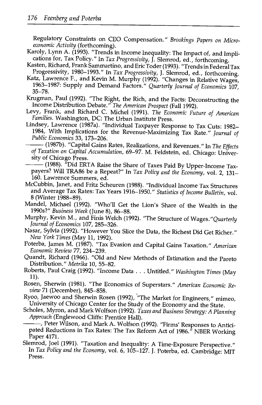Regulatory Constraints on CEO Compensation." Brookings Papers on Microeconomic Activity (forthcoming).<br>Karoly, Lynn A. (1993). "Trends in Income Inequality: The Impact of, and Impli-

- cations for, Tax Policy." In Tax Progressivity, J. Slemrod, ed., forthcoming.
- Kasten, Richard, Frank Sammartino, and Eric Toder (1993). "Trends in Federal Tax Progressivity, 1980-1993." In Tax Progressivity, J. Slemrod, ed., forthcoming.
- Katz, Lawrence F., and Kevin M. Murphy (1992). "Changes in Relative Wages, 1963–1987: Supply and Demand Factors." Quarterly Journal of Economics 107, 35–78.
- Krugman, Paul (1992). "The Right, the Rich, and the Facts: Deconstructing the Income Distribution Debate." The American Prospect (Fall 1992).
- Levy, Frank, and Richard C. Michel (1991). The Economic Future of American Families. Washington, DC: The Urban Institute Press.
- Lindsey, Lawrence (1987a). "Individual Taxpayer Response to Tax Cuts: 1982- 1984, With Implications for the Revenue-Maximizing Tax Rate." Journal of Public Economics 33, 173-206.
	- (1987b). "Capital Gains Rates, Realizations, and Revenues." In The Effects of Taxation on Capital Accumulation, 69-97. M. Feldstein, ed. Chicago: University of Chicago Press.
	- (1988). "Did ERTA Raise the Share of Taxes Paid By Upper-Income Taxpayers? Will TRA86 be a Repeat?" In Tax Policy and the Economy, vol. 2, 131-160. Lawrence Summers, ed.
- McCubbin, Janet, and Fritz Scheuren (1988). "Individual Income Tax Structures and Average Tax Rates: Tax Years 1916-1950." Statistics of Income Bulletin, vol. 8 (Winter 1988-89).
- Mandel, Michael (1992). "Who'll Get the Lion's Share of the Wealth in the 1990s?" Business Week (June 8), 86-88.
- Murphy, Kevin M., and Finis Welch (1992). "The Structure of Wages."Quarterly Journal of Economics 107, 285-326.
- Nasar, Sylvia (1992). "However You Slice the Data, the Richest Did Get Richer." New York Times (May 11, 1992).
- Poterba, James M. (1987). "Tax Evasion and Capital Gains Taxation." American Economic Review 77, 234-239.
- Quandt, Richard (1966). "Old and New Methods of Estimation and the Pareto Distribution." Metrika 10, 55-82.
- Roberts, Paul Craig (1992). "Income Data ... Untitled." Washington Times (May 11).
- Rosen, Sherwin (1981). "The Economics of Superstars." American Economic Review 71 (December), 845–858.<br>Ryoo, Jaewoo and Sherwin Rosen (1992), "The Market for Engineers," mimeo,
- University of Chicago Center for the Study of the Economy and the State.
- Scholes, Myron, and Mark Wolfson (1992). Taxes and Business Strategy: A Planning Approach (Englewood Cliffs: Prentice Hall).
	- ,Peter Wilson, and Mark A. Wolfson (1992). "Firms' Responses to Anticipated Reductions in Tax Rates: The Tax Reform Act of 1986.<sup>"</sup> NBER Working Paper 4171.
- Slemrod, Joel (1991). "Taxation and Inequality: A Time-Exposure Perspective." In Tax Policy and the Economy, vol. 6, 105-127. J. Poterba, ed. Cambridge: MIT Press.